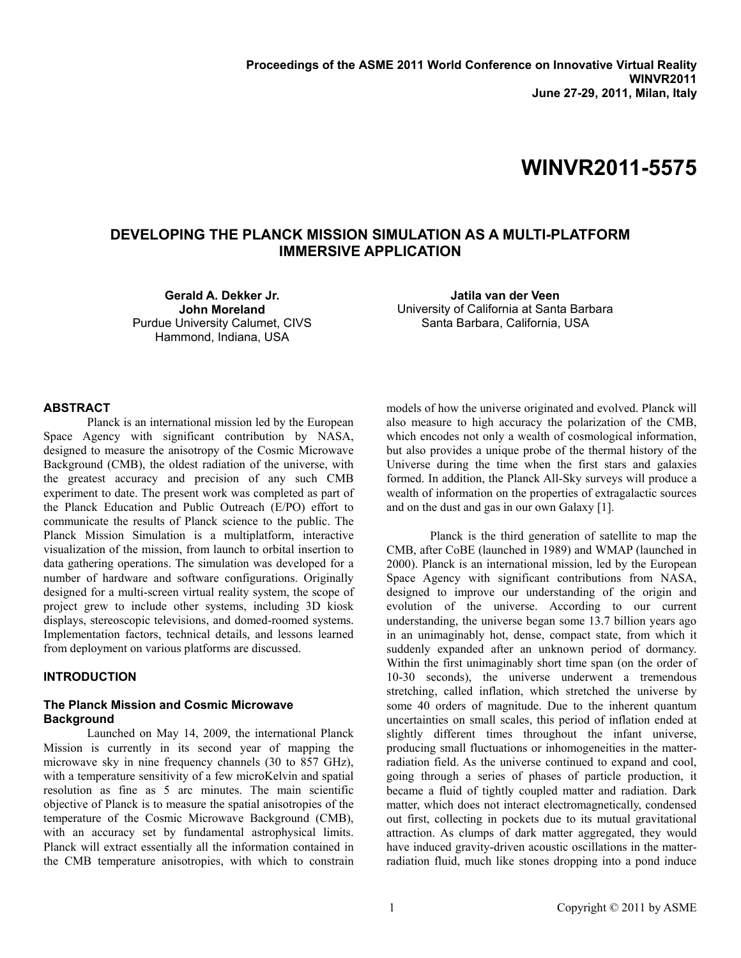# **WINVR2011-5575**

## **DEVELOPING THE PLANCK MISSION SIMULATION AS A MULTI-PLATFORM IMMERSIVE APPLICATION**

**Gerald A. Dekker Jr. John Moreland** Purdue University Calumet, CIVS Hammond, Indiana, USA

**Jatila van der Veen** University of California at Santa Barbara Santa Barbara, California, USA

#### **ABSTRACT**

Planck is an international mission led by the European Space Agency with significant contribution by NASA, designed to measure the anisotropy of the Cosmic Microwave Background (CMB), the oldest radiation of the universe, with the greatest accuracy and precision of any such CMB experiment to date. The present work was completed as part of the Planck Education and Public Outreach (E/PO) effort to communicate the results of Planck science to the public. The Planck Mission Simulation is a multiplatform, interactive visualization of the mission, from launch to orbital insertion to data gathering operations. The simulation was developed for a number of hardware and software configurations. Originally designed for a multi-screen virtual reality system, the scope of project grew to include other systems, including 3D kiosk displays, stereoscopic televisions, and domed-roomed systems. Implementation factors, technical details, and lessons learned from deployment on various platforms are discussed.

#### **INTRODUCTION**

## **The Planck Mission and Cosmic Microwave Background**

Launched on May 14, 2009, the international Planck Mission is currently in its second year of mapping the microwave sky in nine frequency channels (30 to 857 GHz), with a temperature sensitivity of a few microKelvin and spatial resolution as fine as 5 arc minutes. The main scientific objective of Planck is to measure the spatial anisotropies of the temperature of the Cosmic Microwave Background (CMB), with an accuracy set by fundamental astrophysical limits. Planck will extract essentially all the information contained in the CMB temperature anisotropies, with which to constrain models of how the universe originated and evolved. Planck will also measure to high accuracy the polarization of the CMB, which encodes not only a wealth of cosmological information, but also provides a unique probe of the thermal history of the Universe during the time when the first stars and galaxies formed. In addition, the Planck All-Sky surveys will produce a wealth of information on the properties of extragalactic sources and on the dust and gas in our own Galaxy [1].

Planck is the third generation of satellite to map the CMB, after CoBE (launched in 1989) and WMAP (launched in 2000). Planck is an international mission, led by the European Space Agency with significant contributions from NASA, designed to improve our understanding of the origin and evolution of the universe. According to our current understanding, the universe began some 13.7 billion years ago in an unimaginably hot, dense, compact state, from which it suddenly expanded after an unknown period of dormancy. Within the first unimaginably short time span (on the order of 10-30 seconds), the universe underwent a tremendous stretching, called inflation, which stretched the universe by some 40 orders of magnitude. Due to the inherent quantum uncertainties on small scales, this period of inflation ended at slightly different times throughout the infant universe, producing small fluctuations or inhomogeneities in the matterradiation field. As the universe continued to expand and cool, going through a series of phases of particle production, it became a fluid of tightly coupled matter and radiation. Dark matter, which does not interact electromagnetically, condensed out first, collecting in pockets due to its mutual gravitational attraction. As clumps of dark matter aggregated, they would have induced gravity-driven acoustic oscillations in the matterradiation fluid, much like stones dropping into a pond induce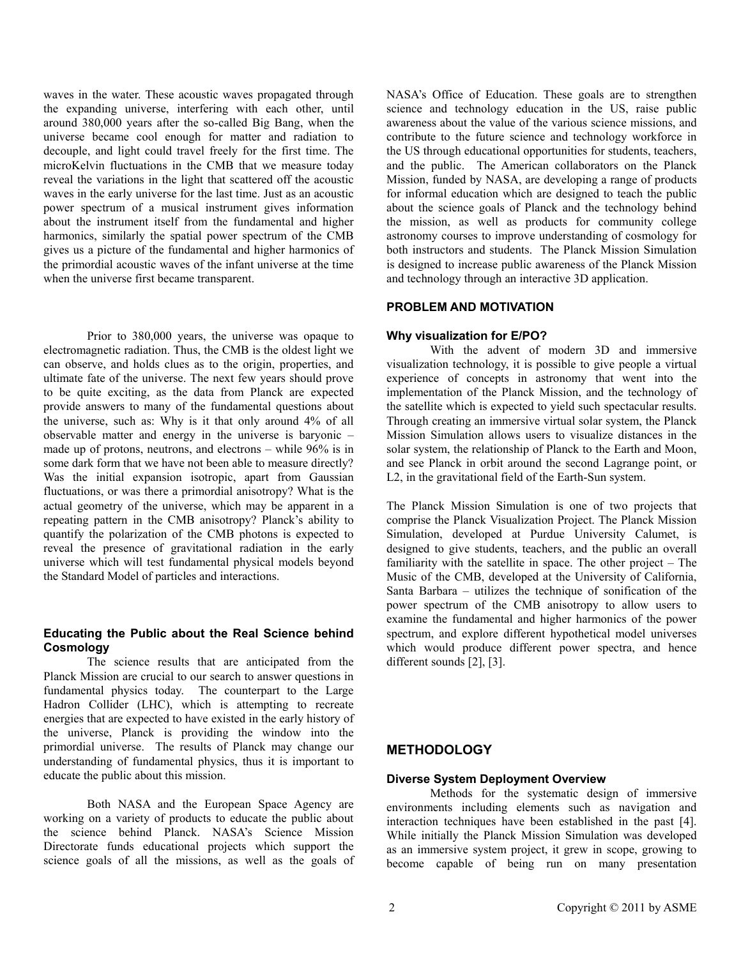waves in the water. These acoustic waves propagated through the expanding universe, interfering with each other, until around 380,000 years after the so-called Big Bang, when the universe became cool enough for matter and radiation to decouple, and light could travel freely for the first time. The microKelvin fluctuations in the CMB that we measure today reveal the variations in the light that scattered off the acoustic waves in the early universe for the last time. Just as an acoustic power spectrum of a musical instrument gives information about the instrument itself from the fundamental and higher harmonics, similarly the spatial power spectrum of the CMB gives us a picture of the fundamental and higher harmonics of the primordial acoustic waves of the infant universe at the time when the universe first became transparent.

Prior to 380,000 years, the universe was opaque to electromagnetic radiation. Thus, the CMB is the oldest light we can observe, and holds clues as to the origin, properties, and ultimate fate of the universe. The next few years should prove to be quite exciting, as the data from Planck are expected provide answers to many of the fundamental questions about the universe, such as: Why is it that only around 4% of all observable matter and energy in the universe is baryonic – made up of protons, neutrons, and electrons – while 96% is in some dark form that we have not been able to measure directly? Was the initial expansion isotropic, apart from Gaussian fluctuations, or was there a primordial anisotropy? What is the actual geometry of the universe, which may be apparent in a repeating pattern in the CMB anisotropy? Planck's ability to quantify the polarization of the CMB photons is expected to reveal the presence of gravitational radiation in the early universe which will test fundamental physical models beyond the Standard Model of particles and interactions.

## **Educating the Public about the Real Science behind Cosmology**

The science results that are anticipated from the Planck Mission are crucial to our search to answer questions in fundamental physics today. The counterpart to the Large Hadron Collider (LHC), which is attempting to recreate energies that are expected to have existed in the early history of the universe, Planck is providing the window into the primordial universe. The results of Planck may change our understanding of fundamental physics, thus it is important to educate the public about this mission.

Both NASA and the European Space Agency are working on a variety of products to educate the public about the science behind Planck. NASA's Science Mission Directorate funds educational projects which support the science goals of all the missions, as well as the goals of NASA's Office of Education. These goals are to strengthen science and technology education in the US, raise public awareness about the value of the various science missions, and contribute to the future science and technology workforce in the US through educational opportunities for students, teachers, and the public. The American collaborators on the Planck Mission, funded by NASA, are developing a range of products for informal education which are designed to teach the public about the science goals of Planck and the technology behind the mission, as well as products for community college astronomy courses to improve understanding of cosmology for both instructors and students. The Planck Mission Simulation is designed to increase public awareness of the Planck Mission and technology through an interactive 3D application.

## **PROBLEM AND MOTIVATION**

#### **Why visualization for E/PO?**

With the advent of modern 3D and immersive visualization technology, it is possible to give people a virtual experience of concepts in astronomy that went into the implementation of the Planck Mission, and the technology of the satellite which is expected to yield such spectacular results. Through creating an immersive virtual solar system, the Planck Mission Simulation allows users to visualize distances in the solar system, the relationship of Planck to the Earth and Moon, and see Planck in orbit around the second Lagrange point, or L2, in the gravitational field of the Earth-Sun system.

The Planck Mission Simulation is one of two projects that comprise the Planck Visualization Project. The Planck Mission Simulation, developed at Purdue University Calumet, is designed to give students, teachers, and the public an overall familiarity with the satellite in space. The other project – The Music of the CMB, developed at the University of California, Santa Barbara – utilizes the technique of sonification of the power spectrum of the CMB anisotropy to allow users to examine the fundamental and higher harmonics of the power spectrum, and explore different hypothetical model universes which would produce different power spectra, and hence different sounds [2], [3].

## **METHODOLOGY**

#### **Diverse System Deployment Overview**

Methods for the systematic design of immersive environments including elements such as navigation and interaction techniques have been established in the past [4]. While initially the Planck Mission Simulation was developed as an immersive system project, it grew in scope, growing to become capable of being run on many presentation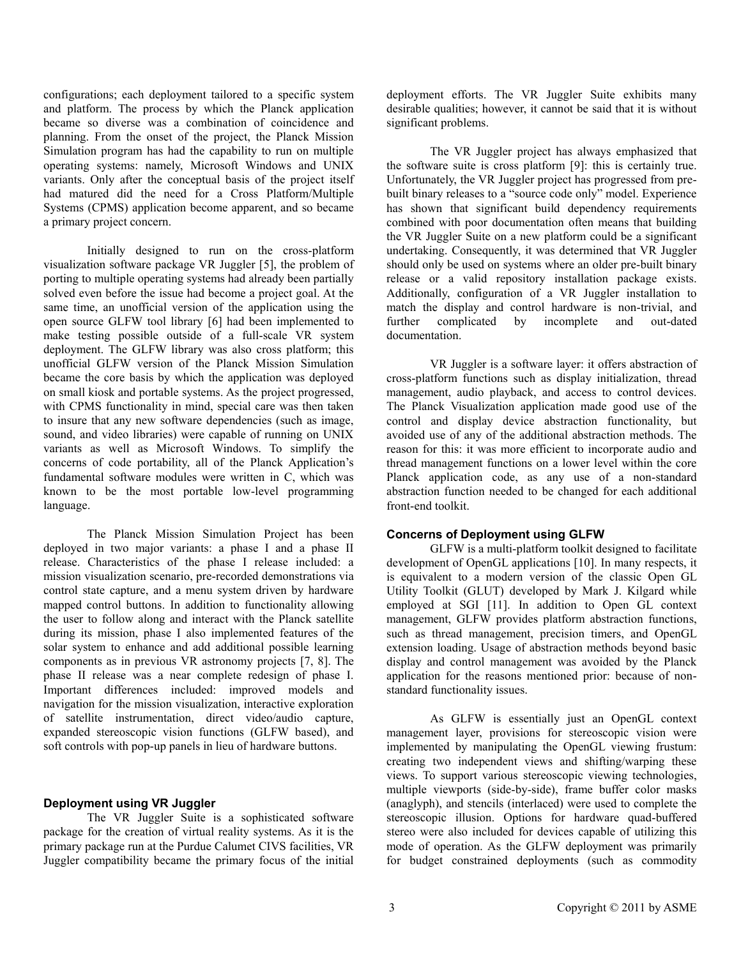configurations; each deployment tailored to a specific system and platform. The process by which the Planck application became so diverse was a combination of coincidence and planning. From the onset of the project, the Planck Mission Simulation program has had the capability to run on multiple operating systems: namely, Microsoft Windows and UNIX variants. Only after the conceptual basis of the project itself had matured did the need for a Cross Platform/Multiple Systems (CPMS) application become apparent, and so became a primary project concern.

Initially designed to run on the cross-platform visualization software package VR Juggler [5], the problem of porting to multiple operating systems had already been partially solved even before the issue had become a project goal. At the same time, an unofficial version of the application using the open source GLFW tool library [6] had been implemented to make testing possible outside of a full-scale VR system deployment. The GLFW library was also cross platform; this unofficial GLFW version of the Planck Mission Simulation became the core basis by which the application was deployed on small kiosk and portable systems. As the project progressed, with CPMS functionality in mind, special care was then taken to insure that any new software dependencies (such as image, sound, and video libraries) were capable of running on UNIX variants as well as Microsoft Windows. To simplify the concerns of code portability, all of the Planck Application's fundamental software modules were written in C, which was known to be the most portable low-level programming language.

The Planck Mission Simulation Project has been deployed in two major variants: a phase I and a phase II release. Characteristics of the phase I release included: a mission visualization scenario, pre-recorded demonstrations via control state capture, and a menu system driven by hardware mapped control buttons. In addition to functionality allowing the user to follow along and interact with the Planck satellite during its mission, phase I also implemented features of the solar system to enhance and add additional possible learning components as in previous VR astronomy projects [7, 8]. The phase II release was a near complete redesign of phase I. Important differences included: improved models and navigation for the mission visualization, interactive exploration of satellite instrumentation, direct video/audio capture, expanded stereoscopic vision functions (GLFW based), and soft controls with pop-up panels in lieu of hardware buttons.

#### **Deployment using VR Juggler**

The VR Juggler Suite is a sophisticated software package for the creation of virtual reality systems. As it is the primary package run at the Purdue Calumet CIVS facilities, VR Juggler compatibility became the primary focus of the initial

deployment efforts. The VR Juggler Suite exhibits many desirable qualities; however, it cannot be said that it is without significant problems.

The VR Juggler project has always emphasized that the software suite is cross platform [9]: this is certainly true. Unfortunately, the VR Juggler project has progressed from prebuilt binary releases to a "source code only" model. Experience has shown that significant build dependency requirements combined with poor documentation often means that building the VR Juggler Suite on a new platform could be a significant undertaking. Consequently, it was determined that VR Juggler should only be used on systems where an older pre-built binary release or a valid repository installation package exists. Additionally, configuration of a VR Juggler installation to match the display and control hardware is non-trivial, and further complicated by incomplete and out-dated documentation.

VR Juggler is a software layer: it offers abstraction of cross-platform functions such as display initialization, thread management, audio playback, and access to control devices. The Planck Visualization application made good use of the control and display device abstraction functionality, but avoided use of any of the additional abstraction methods. The reason for this: it was more efficient to incorporate audio and thread management functions on a lower level within the core Planck application code, as any use of a non-standard abstraction function needed to be changed for each additional front-end toolkit.

## **Concerns of Deployment using GLFW**

GLFW is a multi-platform toolkit designed to facilitate development of OpenGL applications [10]. In many respects, it is equivalent to a modern version of the classic Open GL Utility Toolkit (GLUT) developed by Mark J. Kilgard while employed at SGI [11]. In addition to Open GL context management, GLFW provides platform abstraction functions, such as thread management, precision timers, and OpenGL extension loading. Usage of abstraction methods beyond basic display and control management was avoided by the Planck application for the reasons mentioned prior: because of nonstandard functionality issues.

As GLFW is essentially just an OpenGL context management layer, provisions for stereoscopic vision were implemented by manipulating the OpenGL viewing frustum: creating two independent views and shifting/warping these views. To support various stereoscopic viewing technologies, multiple viewports (side-by-side), frame buffer color masks (anaglyph), and stencils (interlaced) were used to complete the stereoscopic illusion. Options for hardware quad-buffered stereo were also included for devices capable of utilizing this mode of operation. As the GLFW deployment was primarily for budget constrained deployments (such as commodity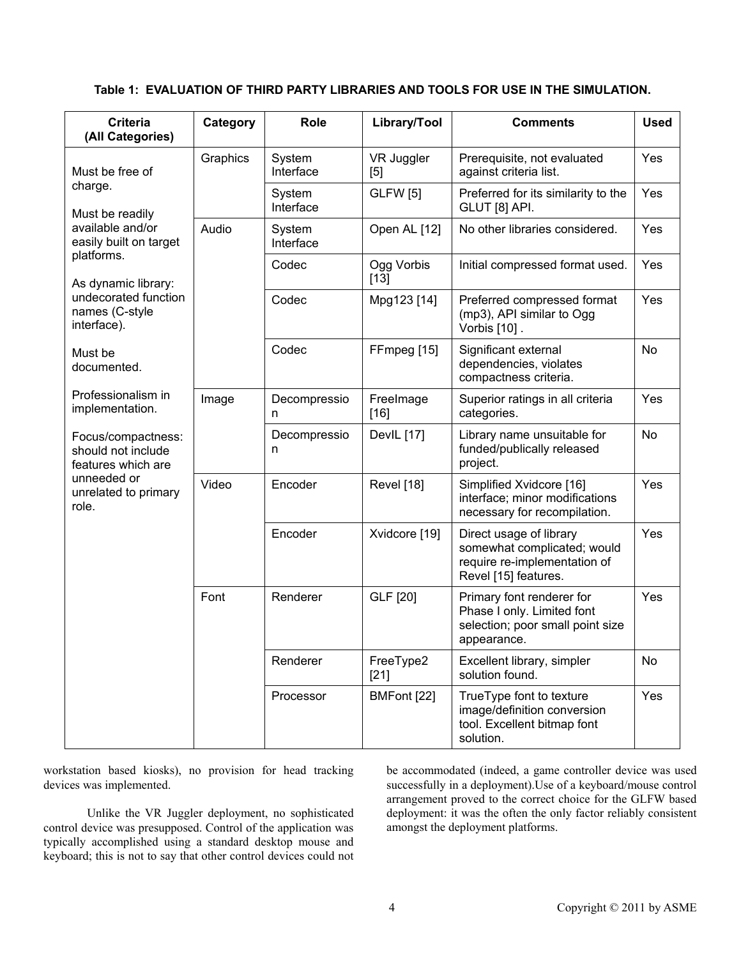| <b>Criteria</b><br>(All Categories)                                                                                                                                                       | Category | <b>Role</b>         | Library/Tool         | <b>Comments</b>                                                                                                | <b>Used</b> |
|-------------------------------------------------------------------------------------------------------------------------------------------------------------------------------------------|----------|---------------------|----------------------|----------------------------------------------------------------------------------------------------------------|-------------|
| Must be free of<br>charge.<br>Must be readily<br>available and/or<br>easily built on target<br>platforms.<br>As dynamic library:<br>undecorated function<br>names (C-style<br>interface). | Graphics | System<br>Interface | VR Juggler<br>[5]    | Prerequisite, not evaluated<br>against criteria list.                                                          | Yes         |
|                                                                                                                                                                                           |          | System<br>Interface | <b>GLFW</b> [5]      | Preferred for its similarity to the<br>GLUT [8] API.                                                           | Yes         |
|                                                                                                                                                                                           | Audio    | System<br>Interface | Open AL [12]         | No other libraries considered.                                                                                 | Yes         |
|                                                                                                                                                                                           |          | Codec               | Ogg Vorbis<br>$[13]$ | Initial compressed format used.                                                                                | Yes         |
|                                                                                                                                                                                           |          | Codec               | Mpg123 [14]          | Preferred compressed format<br>(mp3), API similar to Ogg<br>Vorbis [10].                                       | Yes         |
| Must be<br>documented.<br>Professionalism in<br>implementation.                                                                                                                           |          | Codec               | FFmpeg [15]          | Significant external<br>dependencies, violates<br>compactness criteria.                                        | <b>No</b>   |
|                                                                                                                                                                                           | Image    | Decompressio<br>n   | FreeImage<br>$[16]$  | Superior ratings in all criteria<br>categories.                                                                | Yes         |
| Focus/compactness:<br>should not include<br>features which are<br>unneeded or<br>unrelated to primary<br>role.                                                                            |          | Decompressio<br>n   | DevlL [17]           | Library name unsuitable for<br>funded/publically released<br>project.                                          | No          |
|                                                                                                                                                                                           | Video    | Encoder             | <b>Revel</b> [18]    | Simplified Xvidcore [16]<br>interface; minor modifications<br>necessary for recompilation.                     | Yes         |
|                                                                                                                                                                                           |          | Encoder             | Xvidcore [19]        | Direct usage of library<br>somewhat complicated; would<br>require re-implementation of<br>Revel [15] features. | Yes         |
|                                                                                                                                                                                           | Font     | Renderer            | GLF [20]             | Primary font renderer for<br>Phase I only. Limited font<br>selection; poor small point size<br>appearance.     | Yes         |
|                                                                                                                                                                                           |          | Renderer            | FreeType2<br>$[21]$  | Excellent library, simpler<br>solution found.                                                                  | No          |
|                                                                                                                                                                                           |          | Processor           | BMFont [22]          | TrueType font to texture<br>image/definition conversion<br>tool. Excellent bitmap font<br>solution.            | Yes         |

## **Table 1: EVALUATION OF THIRD PARTY LIBRARIES AND TOOLS FOR USE IN THE SIMULATION.**

workstation based kiosks), no provision for head tracking devices was implemented.

Unlike the VR Juggler deployment, no sophisticated control device was presupposed. Control of the application was typically accomplished using a standard desktop mouse and keyboard; this is not to say that other control devices could not

be accommodated (indeed, a game controller device was used successfully in a deployment).Use of a keyboard/mouse control arrangement proved to the correct choice for the GLFW based deployment: it was the often the only factor reliably consistent amongst the deployment platforms.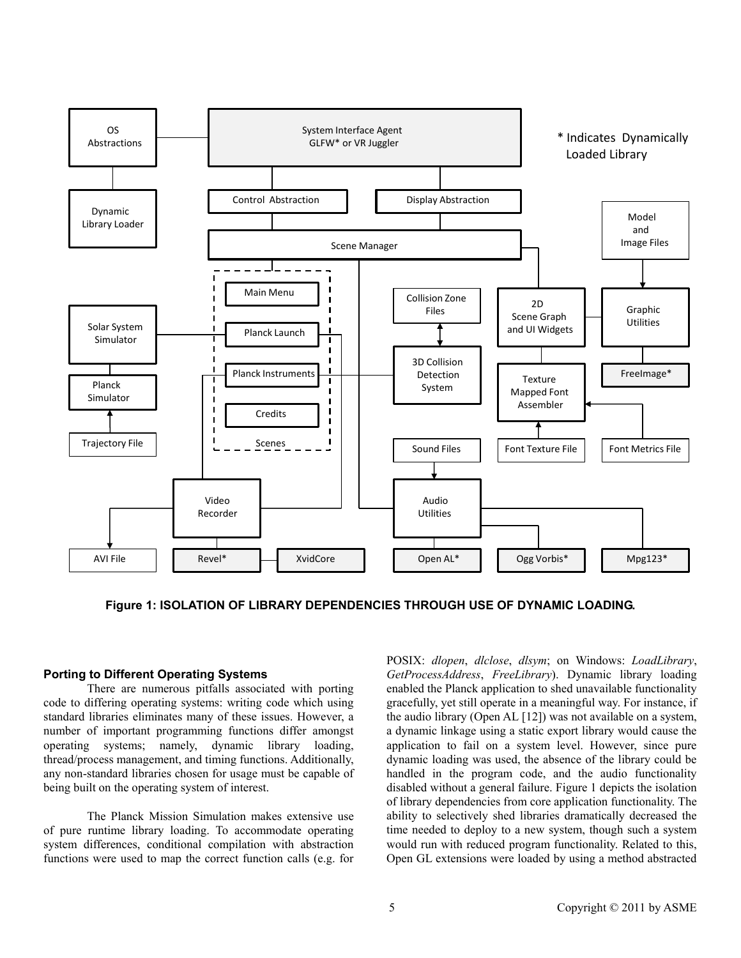

**Figure 1: ISOLATION OF LIBRARY DEPENDENCIES THROUGH USE OF DYNAMIC LOADING.**

## **Porting to Different Operating Systems**

There are numerous pitfalls associated with porting code to differing operating systems: writing code which using standard libraries eliminates many of these issues. However, a number of important programming functions differ amongst operating systems; namely, dynamic library loading, thread/process management, and timing functions. Additionally, any non-standard libraries chosen for usage must be capable of being built on the operating system of interest.

The Planck Mission Simulation makes extensive use of pure runtime library loading. To accommodate operating system differences, conditional compilation with abstraction functions were used to map the correct function calls (e.g. for

POSIX: *dlopen*, *dlclose*, *dlsym*; on Windows: *LoadLibrary*, *GetProcessAddress*, *FreeLibrary*). Dynamic library loading enabled the Planck application to shed unavailable functionality gracefully, yet still operate in a meaningful way. For instance, if the audio library (Open AL [12]) was not available on a system, a dynamic linkage using a static export library would cause the application to fail on a system level. However, since pure dynamic loading was used, the absence of the library could be handled in the program code, and the audio functionality disabled without a general failure. Figure 1 depicts the isolation of library dependencies from core application functionality. The ability to selectively shed libraries dramatically decreased the time needed to deploy to a new system, though such a system would run with reduced program functionality. Related to this, Open GL extensions were loaded by using a method abstracted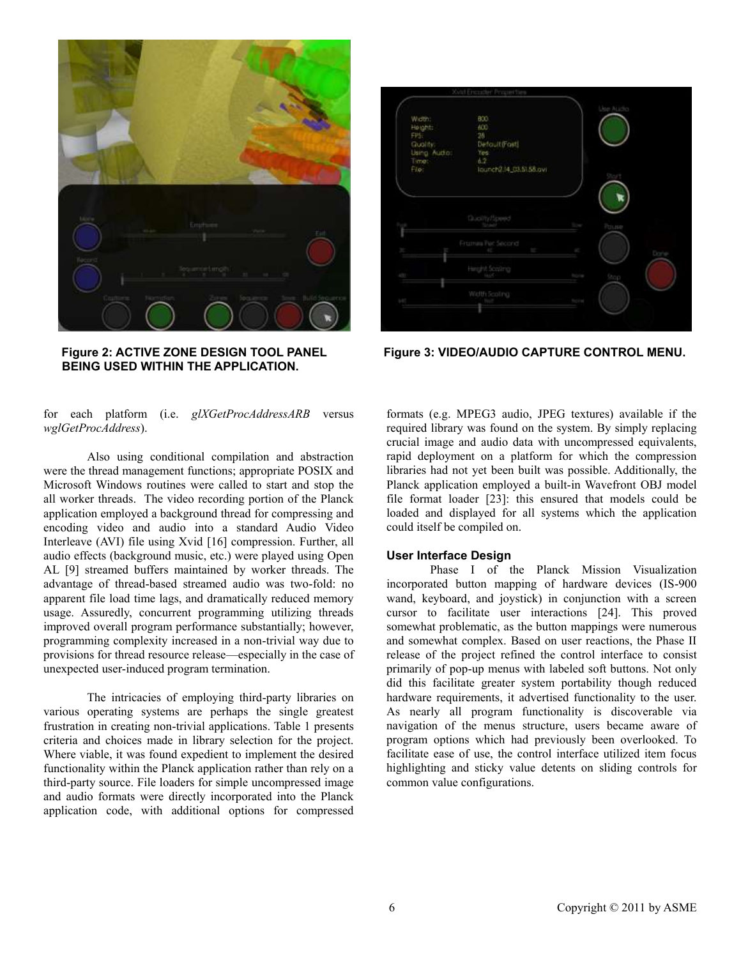

**BEING USED WITHIN THE APPLICATION.**

|                                                                          | <b>Solut Encuider Progenties</b>                                            | Use ALidio             |  |
|--------------------------------------------------------------------------|-----------------------------------------------------------------------------|------------------------|--|
| Width:<br>Height:<br>FPS:<br>Guality.<br>Using Author:<br>Times<br>Filet | 800<br>600<br>26<br>Detault(Fast)<br>Fes.<br>6.2<br>lounch2.14_03.51.58.ovt | Stort                  |  |
|                                                                          | Quality/Speed                                                               | fow Pouse              |  |
| ×                                                                        | Friamaw Por Second<br>Mr. Service                                           | ×<br>Done              |  |
| <b>Service</b>                                                           | Height Scoting                                                              | <b>None</b><br>$-9$ ep |  |
| HC                                                                       | Width Scoling                                                               | <b>THO FIRE</b>        |  |

Figure 2: ACTIVE ZONE DESIGN TOOL PANEL Figure 3: VIDEO/AUDIO CAPTURE CONTROL MENU.

for each platform (i.e. *glXGetProcAddressARB* versus *wglGetProcAddress*).

Also using conditional compilation and abstraction were the thread management functions; appropriate POSIX and Microsoft Windows routines were called to start and stop the all worker threads. The video recording portion of the Planck application employed a background thread for compressing and encoding video and audio into a standard Audio Video Interleave (AVI) file using Xvid [16] compression. Further, all audio effects (background music, etc.) were played using Open AL [9] streamed buffers maintained by worker threads. The advantage of thread-based streamed audio was two-fold: no apparent file load time lags, and dramatically reduced memory usage. Assuredly, concurrent programming utilizing threads improved overall program performance substantially; however, programming complexity increased in a non-trivial way due to provisions for thread resource release—especially in the case of unexpected user-induced program termination.

The intricacies of employing third-party libraries on various operating systems are perhaps the single greatest frustration in creating non-trivial applications. Table 1 presents criteria and choices made in library selection for the project. Where viable, it was found expedient to implement the desired functionality within the Planck application rather than rely on a third-party source. File loaders for simple uncompressed image and audio formats were directly incorporated into the Planck application code, with additional options for compressed formats (e.g. MPEG3 audio, JPEG textures) available if the required library was found on the system. By simply replacing crucial image and audio data with uncompressed equivalents, rapid deployment on a platform for which the compression libraries had not yet been built was possible. Additionally, the Planck application employed a built-in Wavefront OBJ model file format loader [23]: this ensured that models could be loaded and displayed for all systems which the application could itself be compiled on.

## **User Interface Design**

Phase I of the Planck Mission Visualization incorporated button mapping of hardware devices (IS-900 wand, keyboard, and joystick) in conjunction with a screen cursor to facilitate user interactions [24]. This proved somewhat problematic, as the button mappings were numerous and somewhat complex. Based on user reactions, the Phase II release of the project refined the control interface to consist primarily of pop-up menus with labeled soft buttons. Not only did this facilitate greater system portability though reduced hardware requirements, it advertised functionality to the user. As nearly all program functionality is discoverable via navigation of the menus structure, users became aware of program options which had previously been overlooked. To facilitate ease of use, the control interface utilized item focus highlighting and sticky value detents on sliding controls for common value configurations.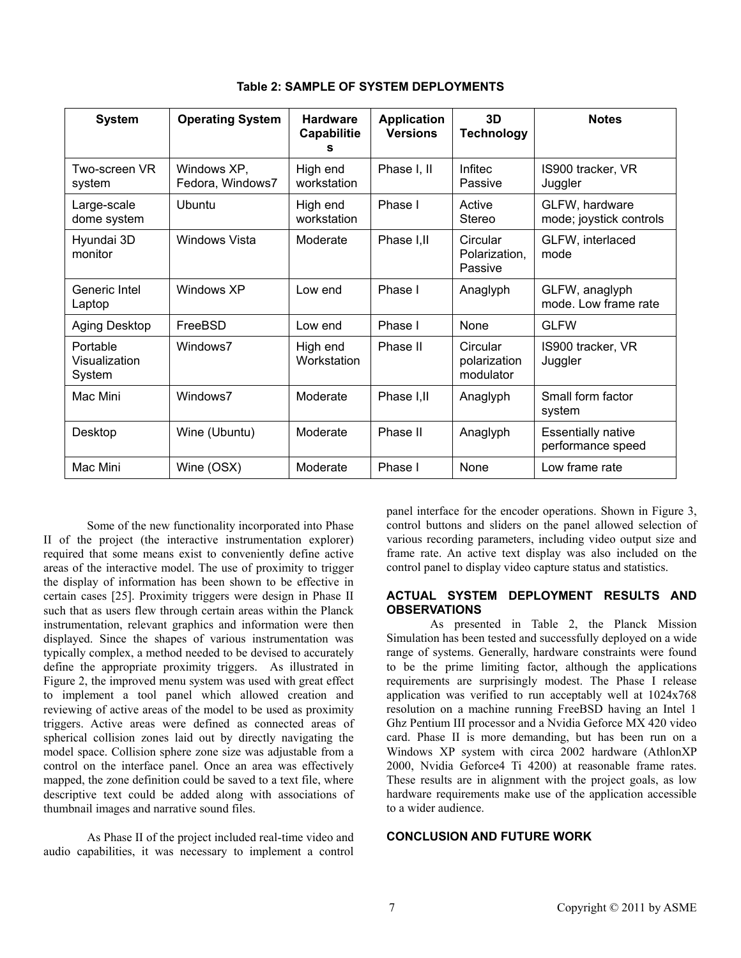| <b>System</b>                       | <b>Operating System</b>         | <b>Hardware</b><br>Capabilitie<br>s | <b>Application</b><br><b>Versions</b> | 3D<br><b>Technology</b>               | <b>Notes</b>                                   |
|-------------------------------------|---------------------------------|-------------------------------------|---------------------------------------|---------------------------------------|------------------------------------------------|
| Two-screen VR<br>system             | Windows XP,<br>Fedora, Windows7 | High end<br>workstation             | Phase I, II                           | <b>Infitec</b><br>Passive             | IS900 tracker, VR<br>Juggler                   |
| Large-scale<br>dome system          | Ubuntu                          | High end<br>workstation             | Phase I                               | Active<br><b>Stereo</b>               | GLFW, hardware<br>mode; joystick controls      |
| Hyundai 3D<br>monitor               | <b>Windows Vista</b>            | Moderate                            | Phase I, II                           | Circular<br>Polarization,<br>Passive  | GLFW, interlaced<br>mode                       |
| Generic Intel<br>Laptop             | Windows XP                      | Low end                             | Phase I                               | Anaglyph                              | GLFW, anaglyph<br>mode. Low frame rate         |
| Aging Desktop                       | FreeBSD                         | Low end                             | Phase I                               | <b>None</b>                           | <b>GLFW</b>                                    |
| Portable<br>Visualization<br>System | Windows7                        | High end<br>Workstation             | Phase II                              | Circular<br>polarization<br>modulator | IS900 tracker, VR<br>Juggler                   |
| Windows7<br>Mac Mini                |                                 | Moderate                            | Phase I.II                            | Anaglyph                              | Small form factor<br>system                    |
| Desktop                             | Wine (Ubuntu)                   |                                     | Phase II                              | Anaglyph                              | <b>Essentially native</b><br>performance speed |
| Mac Mini                            | Wine (OSX)                      | Moderate                            | Phase I                               | <b>None</b>                           | Low frame rate                                 |

**Table 2: SAMPLE OF SYSTEM DEPLOYMENTS**

Some of the new functionality incorporated into Phase II of the project (the interactive instrumentation explorer) required that some means exist to conveniently define active areas of the interactive model. The use of proximity to trigger the display of information has been shown to be effective in certain cases [25]. Proximity triggers were design in Phase II such that as users flew through certain areas within the Planck instrumentation, relevant graphics and information were then displayed. Since the shapes of various instrumentation was typically complex, a method needed to be devised to accurately define the appropriate proximity triggers. As illustrated in Figure 2, the improved menu system was used with great effect to implement a tool panel which allowed creation and reviewing of active areas of the model to be used as proximity triggers. Active areas were defined as connected areas of spherical collision zones laid out by directly navigating the model space. Collision sphere zone size was adjustable from a control on the interface panel. Once an area was effectively mapped, the zone definition could be saved to a text file, where descriptive text could be added along with associations of thumbnail images and narrative sound files.

As Phase II of the project included real-time video and audio capabilities, it was necessary to implement a control

panel interface for the encoder operations. Shown in Figure 3, control buttons and sliders on the panel allowed selection of various recording parameters, including video output size and frame rate. An active text display was also included on the control panel to display video capture status and statistics.

## **ACTUAL SYSTEM DEPLOYMENT RESULTS AND OBSERVATIONS**

As presented in Table 2, the Planck Mission Simulation has been tested and successfully deployed on a wide range of systems. Generally, hardware constraints were found to be the prime limiting factor, although the applications requirements are surprisingly modest. The Phase I release application was verified to run acceptably well at 1024x768 resolution on a machine running FreeBSD having an Intel 1 Ghz Pentium III processor and a Nvidia Geforce MX 420 video card. Phase II is more demanding, but has been run on a Windows XP system with circa 2002 hardware (AthlonXP 2000, Nvidia Geforce4 Ti 4200) at reasonable frame rates. These results are in alignment with the project goals, as low hardware requirements make use of the application accessible to a wider audience.

#### **CONCLUSION AND FUTURE WORK**